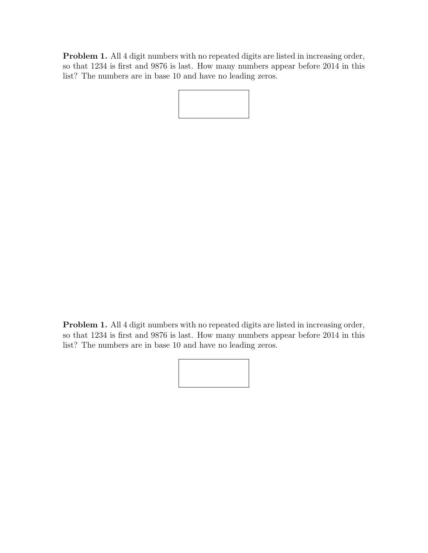Problem 1. All 4 digit numbers with no repeated digits are listed in increasing order, so that 1234 is first and 9876 is last. How many numbers appear before 2014 in this list? The numbers are in base 10 and have no leading zeros.

Problem 1. All 4 digit numbers with no repeated digits are listed in increasing order, so that 1234 is first and 9876 is last. How many numbers appear before 2014 in this list? The numbers are in base 10 and have no leading zeros.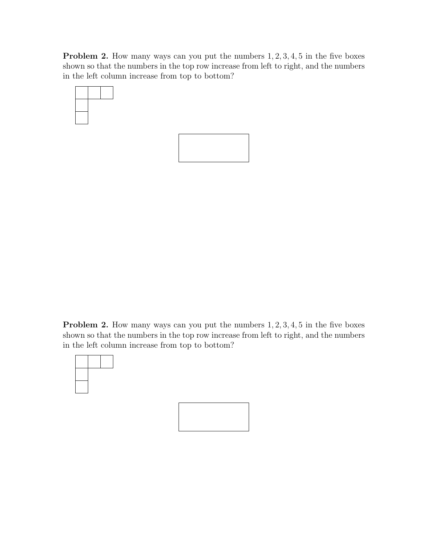**Problem 2.** How many ways can you put the numbers  $1, 2, 3, 4, 5$  in the five boxes shown so that the numbers in the top row increase from left to right, and the numbers in the left column increase from top to bottom?





**Problem 2.** How many ways can you put the numbers  $1, 2, 3, 4, 5$  in the five boxes shown so that the numbers in the top row increase from left to right, and the numbers in the left column increase from top to bottom?

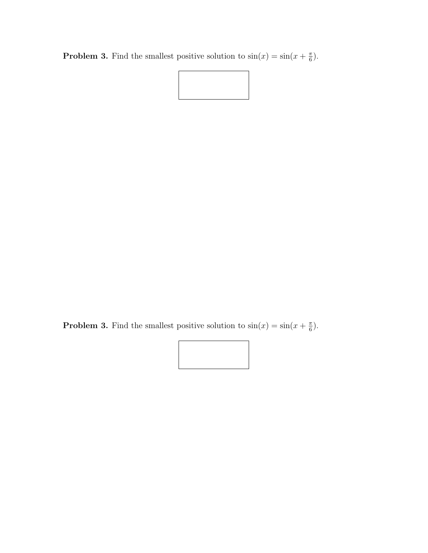**Problem 3.** Find the smallest positive solution to  $\sin(x) = \sin(x + \frac{\pi}{6})$  $\frac{\pi}{6}$ .



**Problem 3.** Find the smallest positive solution to  $\sin(x) = \sin(x + \frac{\pi}{6})$  $\frac{\pi}{6}$ .

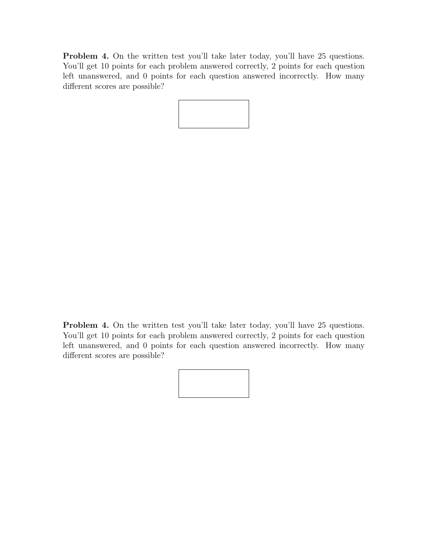Problem 4. On the written test you'll take later today, you'll have 25 questions. You'll get 10 points for each problem answered correctly, 2 points for each question left unanswered, and 0 points for each question answered incorrectly. How many different scores are possible?

Problem 4. On the written test you'll take later today, you'll have 25 questions. You'll get 10 points for each problem answered correctly, 2 points for each question left unanswered, and 0 points for each question answered incorrectly. How many different scores are possible?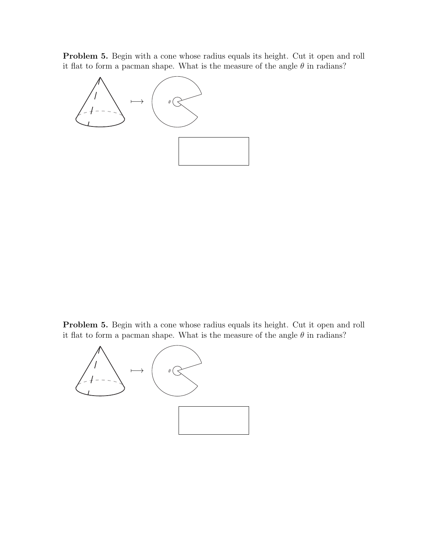Problem 5. Begin with a cone whose radius equals its height. Cut it open and roll it flat to form a pacman shape. What is the measure of the angle  $\theta$  in radians?



Problem 5. Begin with a cone whose radius equals its height. Cut it open and roll it flat to form a pacman shape. What is the measure of the angle  $\theta$  in radians?

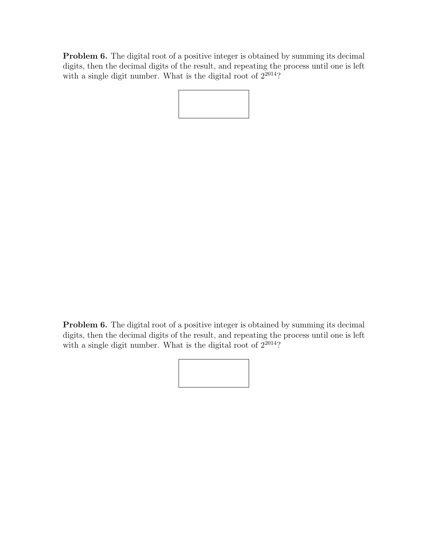Problem 6. The digital root of a positive integer is obtained by summing its decimal digits, then the decimal digits of the result, and repeating the process until one is left with a single digit number. What is the digital root of  $2^{2014}$ ?

Problem 6. The digital root of a positive integer is obtained by summing its decimal digits, then the decimal digits of the result, and repeating the process until one is left with a single digit number. What is the digital root of  $2^{2014}$ ?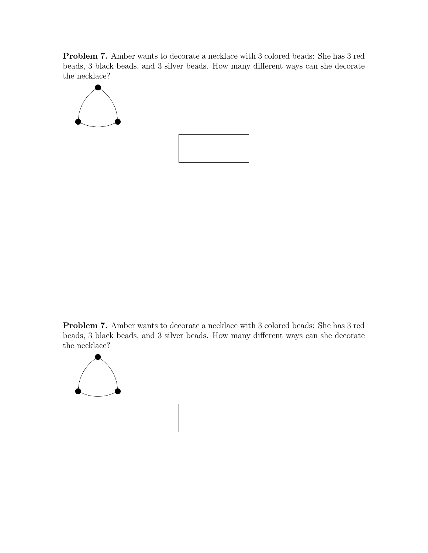Problem 7. Amber wants to decorate a necklace with 3 colored beads: She has 3 red beads, 3 black beads, and 3 silver beads. How many different ways can she decorate the necklace?



Problem 7. Amber wants to decorate a necklace with 3 colored beads: She has 3 red beads, 3 black beads, and 3 silver beads. How many different ways can she decorate the necklace?

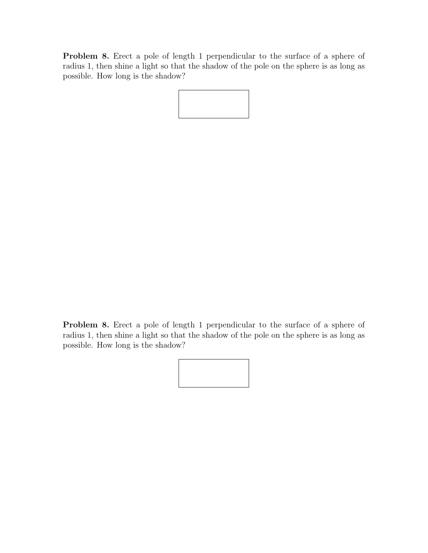Problem 8. Erect a pole of length 1 perpendicular to the surface of a sphere of radius 1, then shine a light so that the shadow of the pole on the sphere is as long as possible. How long is the shadow?

Problem 8. Erect a pole of length 1 perpendicular to the surface of a sphere of radius 1, then shine a light so that the shadow of the pole on the sphere is as long as possible. How long is the shadow?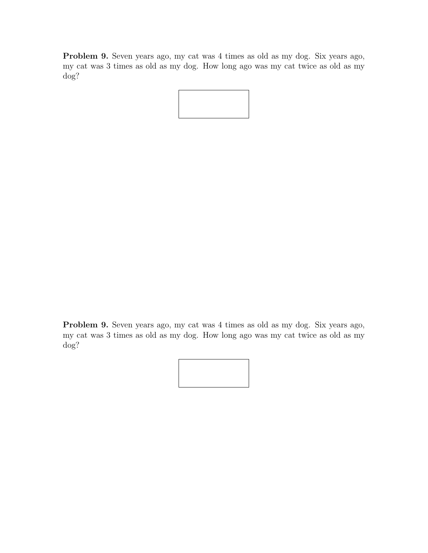Problem 9. Seven years ago, my cat was 4 times as old as my dog. Six years ago, my cat was 3 times as old as my dog. How long ago was my cat twice as old as my dog?

Problem 9. Seven years ago, my cat was 4 times as old as my dog. Six years ago, my cat was 3 times as old as my dog. How long ago was my cat twice as old as my dog?